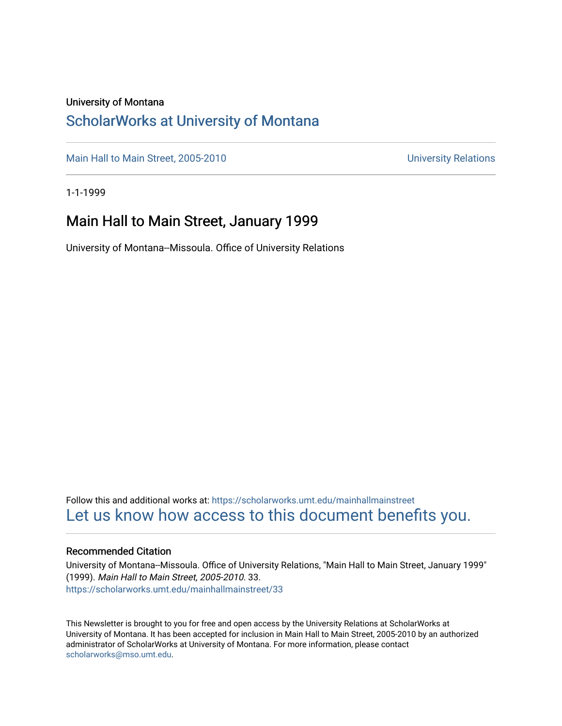#### University of Montana

### [ScholarWorks at University of Montana](https://scholarworks.umt.edu/)

[Main Hall to Main Street, 2005-2010](https://scholarworks.umt.edu/mainhallmainstreet) Main Hall to Main Street, 2005-2010

1-1-1999

### Main Hall to Main Street, January 1999

University of Montana--Missoula. Office of University Relations

Follow this and additional works at: [https://scholarworks.umt.edu/mainhallmainstreet](https://scholarworks.umt.edu/mainhallmainstreet?utm_source=scholarworks.umt.edu%2Fmainhallmainstreet%2F33&utm_medium=PDF&utm_campaign=PDFCoverPages) [Let us know how access to this document benefits you.](https://goo.gl/forms/s2rGfXOLzz71qgsB2) 

#### Recommended Citation

University of Montana--Missoula. Office of University Relations, "Main Hall to Main Street, January 1999" (1999). Main Hall to Main Street, 2005-2010. 33. [https://scholarworks.umt.edu/mainhallmainstreet/33](https://scholarworks.umt.edu/mainhallmainstreet/33?utm_source=scholarworks.umt.edu%2Fmainhallmainstreet%2F33&utm_medium=PDF&utm_campaign=PDFCoverPages) 

This Newsletter is brought to you for free and open access by the University Relations at ScholarWorks at University of Montana. It has been accepted for inclusion in Main Hall to Main Street, 2005-2010 by an authorized administrator of ScholarWorks at University of Montana. For more information, please contact [scholarworks@mso.umt.edu.](mailto:scholarworks@mso.umt.edu)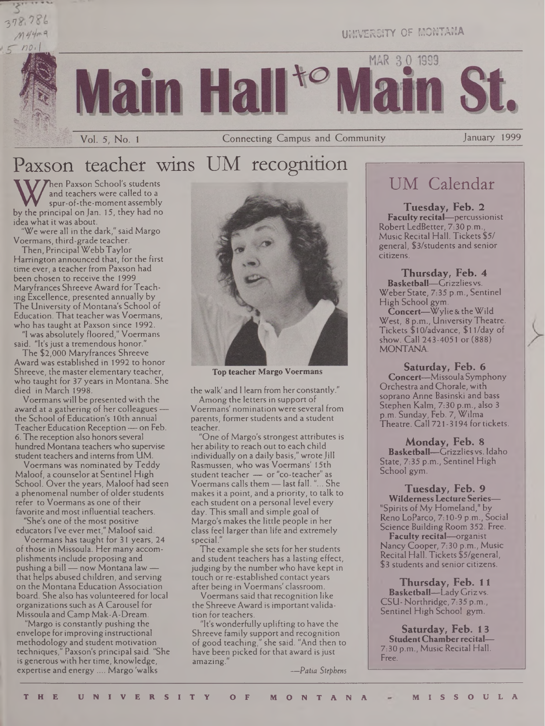# 278.786  $444.99.9$

UNIVERSITY OF MONTANA

MAR 30 1999

Vol. 5, No. 1

Connecting Campus and Community

January 1999

## Paxson teacher wins UM recognition

W and teachers were called to a<br>spur-of-the-moment assembly<br>by the principal on Jan. 15, they had no<br>idea what it was about. hen Paxson School's students and teachers were called to a spur-of-the-moment assembly idea what it was about.

"We were all in the dark," said Margo Voermans, third-grade teacher.

Then, Principal Webb Taylor Harrington announced that, for the first time ever, a teacher from Paxson had been chosen to receive the 1999 Maryfrances Shreeve Award for Teaching Excellence, presented annually by The University of Montana's School of Education. That teacher was Voermans, who has taught at Paxson since 1992.

"1 was absolutely floored," Voermans said. "It's just a tremendous honor."

The \$2,000 Maryfrances Shreeve Award was established in 1992 to honor Shreeve, the master elementary teacher, who taught for 37 years in Montana. She died in March 1998.

Voermans will be presentedwith the award at a gathering of her colleagues the School of Education's <sup>1</sup> Oth annual Teacher Education Reception — on Feb. 6. The reception also honors several hundred Montana teachers who supervise student teachers and interns from UM.

Voermans was nominated by Teddy Maloof, a counselor at Sentinel High School. Over the years, Maloof had seen a phenomenal number of older students refer to Voermans as one of their favorite and most influential teachers.

"She's one of the most positive educators I've ever met," Maloof said.

Voermans has taught for 31 years, 24 of those in Missoula. Her many accomplishments include proposing and pushing a bill — now Montana law that helps abused children, and serving on the Montana Education Association board. She also has volunteered for local organizations such as A Carousel for Missoula and Camp Mak-A-Dream.

"Margo is constantly pushing the envelope forimproving instructional methodology and student motivation techniques," Paxson's principal said. "She is generous with her time, knowledge, expertise and energy.... Margo 'walks



**Top teacher Margo Voermans**

the walk' and <sup>1</sup> learn from her constantly." Among the letters in support of Voermans' nomination were several from parents, former students and a student teacher.

"One of Margo's strongest attributes is her ability to reach out to each child individually on a daily basis," wrote Jill Rasmussen, who was Voermans' 15th student teacher — or "co-teacher" as Voermans calls them —last fall."... She makes it a point, and a priority, to talk to each student on a personal level every day. This small and simple goal of Margo's makes the little people in her class feel larger than life and extremely special.

The example she sets for her students and student teachers has a lasting effect, judging by the number who have kept in touch or re-established contact years after being in Voermans' classroom.

Voermans said that recognition like the Shreeve Award is important validation for teachers.

"It's wonderfully uplifting to have the Shreeve family support and recognition of good teaching," she said. "And then to have been picked for that award is just amazing."

*—Patia Stephens*

## UM Calendar

**Tuesday, Feb. 2 Faculty recital—**percussionist Robert LedBetter, 7:30 p.m., Music Recital Hall. Tickets \$5/ general, \$3/students and senior citizens.

**Thursday, Feb. 4 Basketball—**Grizzliesvs. Weber State, 7:35 p.m., Sentinel High School gym.

**Concert—**Wylie & theWild West, 8 p.m., University Theatre. Tickets \$10/advance, \$11/day of show. Call 243-4051 or (888) MONTANA.

**Saturday, Feb. 6 Concert—**Missoula Symphony Orchestra and Chorale, with soprano Anne Basinski and bass Stephen Kalm, 7:30 p.m., also <sup>3</sup> p.m. Sunday, Feb. 7, Wilma Theatre. Call 721-3194 for tickets.

**Monday, Feb. 8 Basketball—**Grizzliesvs. Idaho State, 7:35 p.m., Sentinel High School gym.

**Tuesday, Feb. 9 WildernessLecture Series—** "Spirits of My Homeland," by Reno LoParco, 7:10-9 p.m., Social Science Building Room 352. Free. **Faculty recital—**organist Nancy Cooper, 7:30 p.m., Music Recital Hall. Tickets \$5/general, \$3 students and senior citizens.

**Thursday, Feb. 11 Basketball—**Lady Griz vs. CSU- Northridge, 7:35 p.m., Sentinel High School gym.

**Saturday, Feb. 13 StudentChamber recital—** 7:30 p.m., Music Recital Hall. Free.